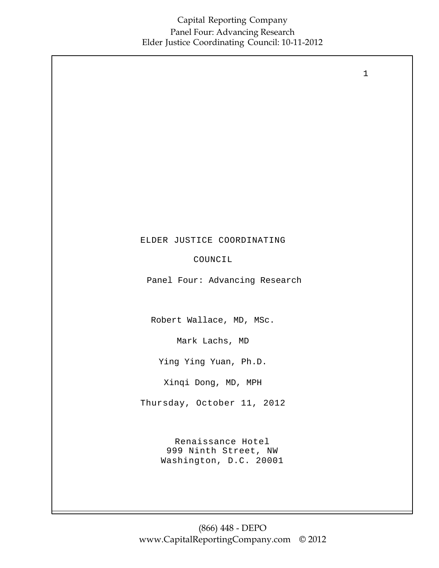ELDER JUSTICE COORDINATING COUNCIL Panel Four: Advancing Research Robert Wallace, MD, MSc. Mark Lachs, MD Ying Ying Yuan, Ph.D. Xinqi Dong, MD, MPH Thursday, October 11, 2012

> Renaissance Hotel 999 Ninth Street, NW Washington, D.C. 20001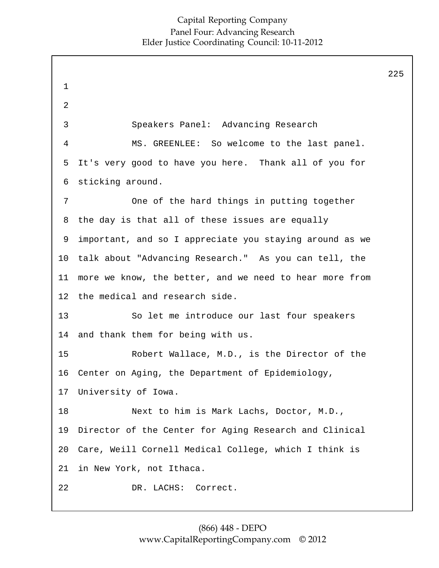|                 |                                                         | 225 |
|-----------------|---------------------------------------------------------|-----|
| $\mathbf 1$     |                                                         |     |
| 2               |                                                         |     |
| 3               | Speakers Panel: Advancing Research                      |     |
| 4               | MS. GREENLEE: So welcome to the last panel.             |     |
| 5               | It's very good to have you here. Thank all of you for   |     |
| 6               | sticking around.                                        |     |
| 7               | One of the hard things in putting together              |     |
| 8               | the day is that all of these issues are equally         |     |
| 9               | important, and so I appreciate you staying around as we |     |
| 10              | talk about "Advancing Research." As you can tell, the   |     |
| 11              | more we know, the better, and we need to hear more from |     |
| 12 <sub>1</sub> | the medical and research side.                          |     |
| 13              | So let me introduce our last four speakers              |     |
| 14              | and thank them for being with us.                       |     |
| 15              | Robert Wallace, M.D., is the Director of the            |     |
| 16              | Center on Aging, the Department of Epidemiology,        |     |
| 17              | University of Iowa.                                     |     |
| 18              | Next to him is Mark Lachs, Doctor, M.D.,                |     |
| 19              | Director of the Center for Aging Research and Clinical  |     |
| 20              | Care, Weill Cornell Medical College, which I think is   |     |
| 21              | in New York, not Ithaca.                                |     |
| 22              | DR. LACHS: Correct.                                     |     |
|                 |                                                         |     |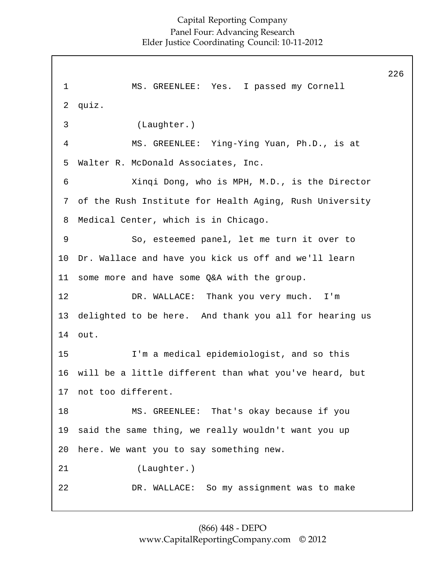1 2 3 4 5 6 7 8 9 10 11 12 13 14 15 16 17 18 19 20 21 22 MS. GREENLEE: Yes. I passed my Cornell quiz. (Laughter.) MS. GREENLEE: Ying-Ying Yuan, Ph.D., is at Walter R. McDonald Associates, Inc. Xinqi Dong, who is MPH, M.D., is the Director of the Rush Institute for Health Aging, Rush University Medical Center, which is in Chicago. So, esteemed panel, let me turn it over to Dr. Wallace and have you kick us off and we'll learn some more and have some Q&A with the group. DR. WALLACE: Thank you very much. I'm delighted to be here. And thank you all for hearing us out. I'm a medical epidemiologist, and so this will be a little different than what you've heard, but not too different. MS. GREENLEE: That's okay because if you said the same thing, we really wouldn't want you up here. We want you to say something new. (Laughter.) DR. WALLACE: So my assignment was to make 226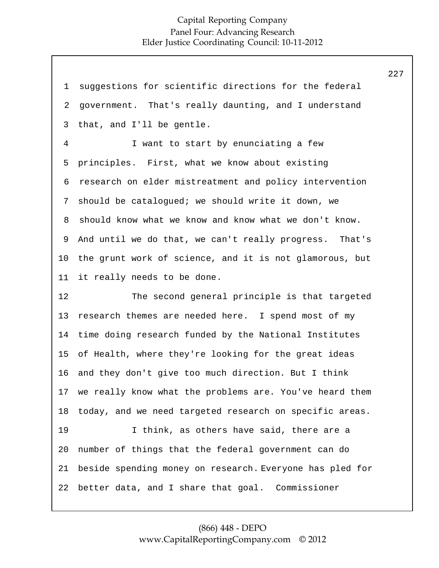| 1              | suggestions for scientific directions for the federal    |
|----------------|----------------------------------------------------------|
| 2              | government. That's really daunting, and I understand     |
| 3              | that, and I'll be gentle.                                |
| $\overline{4}$ | I want to start by enunciating a few                     |
| 5              | principles. First, what we know about existing           |
| 6              | research on elder mistreatment and policy intervention   |
| 7              | should be catalogued; we should write it down, we        |
| 8              | should know what we know and know what we don't know.    |
| 9              | And until we do that, we can't really progress. That's   |
| 10             | the grunt work of science, and it is not glamorous, but  |
| 11             | it really needs to be done.                              |
|                |                                                          |
| 12             | The second general principle is that targeted            |
| 13             | research themes are needed here. I spend most of my      |
| 14             | time doing research funded by the National Institutes    |
| 15             | of Health, where they're looking for the great ideas     |
| 16             | and they don't give too much direction. But I think      |
| 17             | we really know what the problems are. You've heard them  |
| 18             | today, and we need targeted research on specific areas.  |
| 19             | I think, as others have said, there are a                |
| 20             | number of things that the federal government can do      |
| 21             | beside spending money on research. Everyone has pled for |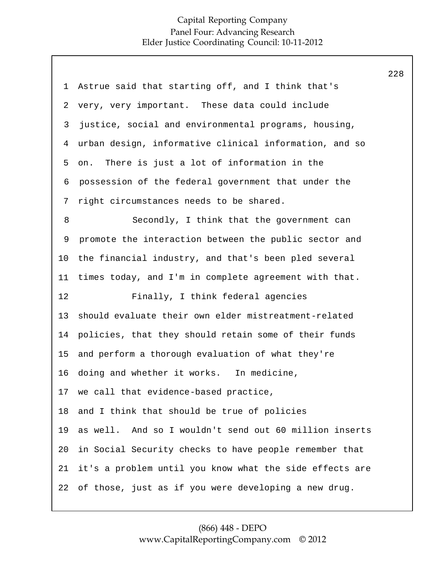| 1  | Astrue said that starting off, and I think that's       |
|----|---------------------------------------------------------|
| 2  | very, very important. These data could include          |
| 3  | justice, social and environmental programs, housing,    |
| 4  | urban design, informative clinical information, and so  |
| 5  | There is just a lot of information in the<br>on.        |
| 6  | possession of the federal government that under the     |
| 7  | right circumstances needs to be shared.                 |
| 8  | Secondly, I think that the government can               |
| 9  | promote the interaction between the public sector and   |
| 10 | the financial industry, and that's been pled several    |
| 11 | times today, and I'm in complete agreement with that.   |
| 12 | Finally, I think federal agencies                       |
|    |                                                         |
| 13 | should evaluate their own elder mistreatment-related    |
| 14 | policies, that they should retain some of their funds   |
| 15 | and perform a thorough evaluation of what they're       |
| 16 | doing and whether it works. In medicine,                |
| 17 | we call that evidence-based practice,                   |
| 18 | and I think that should be true of policies             |
| 19 | as well. And so I wouldn't send out 60 million inserts  |
| 20 | in Social Security checks to have people remember that  |
| 21 | it's a problem until you know what the side effects are |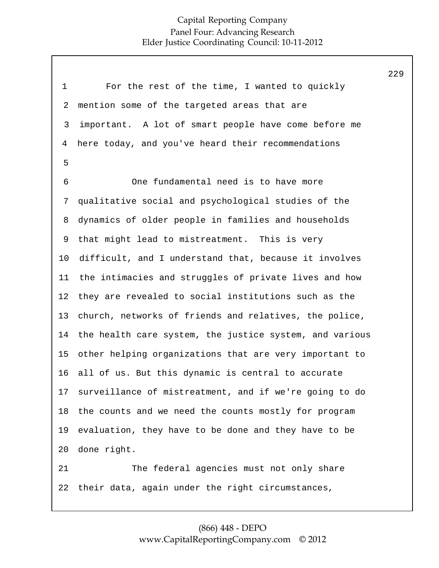|                |                                                         | 229 |
|----------------|---------------------------------------------------------|-----|
| $\mathbf 1$    | For the rest of the time, I wanted to quickly           |     |
| $\overline{2}$ | mention some of the targeted areas that are             |     |
| 3              | important. A lot of smart people have come before me    |     |
| 4              | here today, and you've heard their recommendations      |     |
| 5              |                                                         |     |
| 6              | One fundamental need is to have more                    |     |
| 7              | qualitative social and psychological studies of the     |     |
| 8              | dynamics of older people in families and households     |     |
| 9              | that might lead to mistreatment. This is very           |     |
| $10 \,$        | difficult, and I understand that, because it involves   |     |
| 11             | the intimacies and struggles of private lives and how   |     |
| 12             | they are revealed to social institutions such as the    |     |
| 13             | church, networks of friends and relatives, the police,  |     |
| 14             | the health care system, the justice system, and various |     |
| 15             | other helping organizations that are very important to  |     |
| 16             | all of us. But this dynamic is central to accurate      |     |
| 17             | surveillance of mistreatment, and if we're going to do  |     |
| 18             | the counts and we need the counts mostly for program    |     |
| 19             | evaluation, they have to be done and they have to be    |     |
| 20             | done right.                                             |     |
| 21             | The federal agencies must not only share                |     |
| 22             | their data, again under the right circumstances,        |     |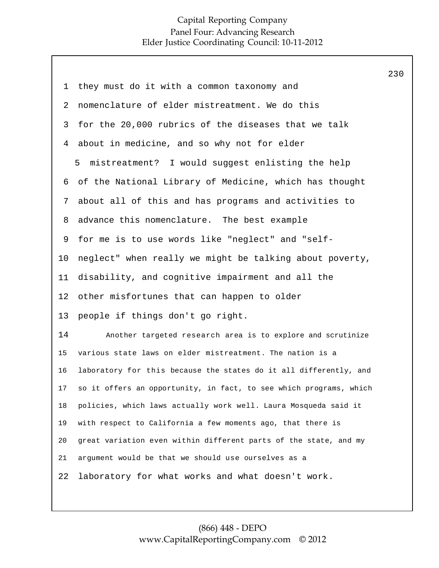| 1  | they must do it with a common taxonomy and                         |
|----|--------------------------------------------------------------------|
| 2  | nomenclature of elder mistreatment. We do this                     |
| 3  | for the 20,000 rubrics of the diseases that we talk                |
| 4  | about in medicine, and so why not for elder                        |
|    | 5 mistreatment? I would suggest enlisting the help                 |
| 6  | of the National Library of Medicine, which has thought             |
| 7  | about all of this and has programs and activities to               |
| 8  | advance this nomenclature. The best example                        |
| 9  | for me is to use words like "neglect" and "self-                   |
| 10 | neglect" when really we might be talking about poverty,            |
| 11 | disability, and cognitive impairment and all the                   |
| 12 | other misfortunes that can happen to older                         |
| 13 | people if things don't go right.                                   |
| 14 | Another targeted research area is to explore and scrutinize        |
| 15 | various state laws on elder mistreatment. The nation is a          |
| 16 | laboratory for this because the states do it all differently, and  |
| 17 | so it offers an opportunity, in fact, to see which programs, which |
| 18 | policies, which laws actually work well. Laura Mosqueda said it    |
| 19 | with respect to California a few moments ago, that there is        |
| 20 | great variation even within different parts of the state, and my   |
| 21 | argument would be that we should use ourselves as a                |
| 22 | laboratory for what works and what doesn't work.                   |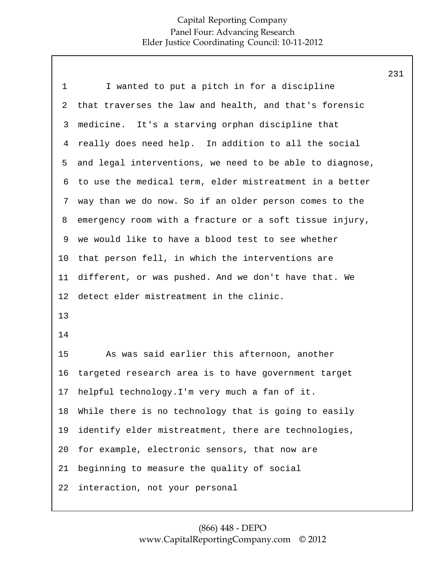| $\mathbf 1$ | I wanted to put a pitch in for a discipline              |
|-------------|----------------------------------------------------------|
| 2           | that traverses the law and health, and that's forensic   |
| 3           | medicine. It's a starving orphan discipline that         |
| 4           | really does need help. In addition to all the social     |
| 5           | and legal interventions, we need to be able to diagnose, |
| 6           | to use the medical term, elder mistreatment in a better  |
| 7           | way than we do now. So if an older person comes to the   |
| 8           | emergency room with a fracture or a soft tissue injury,  |
| 9           | we would like to have a blood test to see whether        |
| 10          | that person fell, in which the interventions are         |
| 11          | different, or was pushed. And we don't have that. We     |
| 12          | detect elder mistreatment in the clinic.                 |
| 13          |                                                          |
| 14          |                                                          |
| 15          | As was said earlier this afternoon, another              |
| 16          | targeted research area is to have government target      |
| 17          | helpful technology. I'm very much a fan of it.           |
| 18          | While there is no technology that is going to easily     |
| 19          | identify elder mistreatment, there are technologies,     |
| 20          | for example, electronic sensors, that now are            |
| 21          | beginning to measure the quality of social               |
| 22          | interaction, not your personal                           |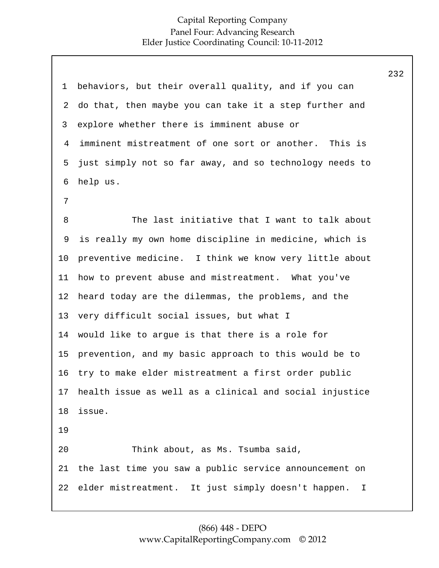| $\mathbf 1$ | behaviors, but their overall quality, and if you can    |
|-------------|---------------------------------------------------------|
| 2           | do that, then maybe you can take it a step further and  |
| 3           | explore whether there is imminent abuse or              |
| 4           | imminent mistreatment of one sort or another. This is   |
| 5           | just simply not so far away, and so technology needs to |
| 6           | help us.                                                |
| 7           |                                                         |
| 8           | The last initiative that I want to talk about           |
| 9           | is really my own home discipline in medicine, which is  |
| 10          | preventive medicine. I think we know very little about  |
| 11          | how to prevent abuse and mistreatment. What you've      |
| 12          | heard today are the dilemmas, the problems, and the     |
| 13          | very difficult social issues, but what I                |
| 14          | would like to argue is that there is a role for         |
| 15          | prevention, and my basic approach to this would be to   |
| 16          | try to make elder mistreatment a first order public     |
| 17          | health issue as well as a clinical and social injustice |
| 18          | issue.                                                  |
| 19          |                                                         |
| 20          | Think about, as Ms. Tsumba said,                        |
| 21          | the last time you saw a public service announcement on  |
| 22          | elder mistreatment. It just simply doesn't happen.<br>I |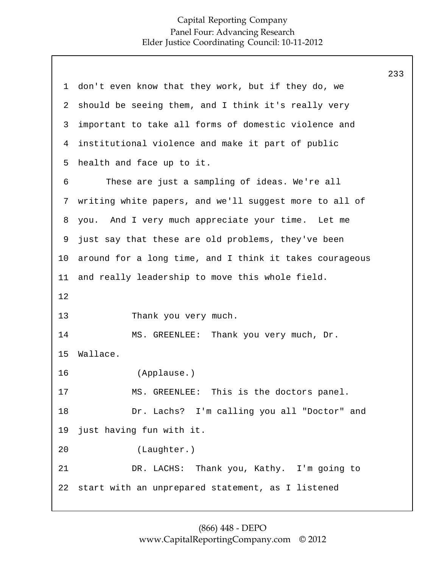233

1 2 3 4 5 6 7 8 9 10 11 12 13 14 15 16 17 18 19 20 21 22 don't even know that they work, but if they do, we should be seeing them, and I think it's really very important to take all forms of domestic violence and institutional violence and make it part of public health and face up to it. These are just a sampling of ideas. We're all writing white papers, and we'll suggest more to all of you. And I very much appreciate your time. Let me just say that these are old problems, they've been around for a long time, and I think it takes courageous and really leadership to move this whole field. Thank you very much. MS. GREENLEE: Thank you very much, Dr. Wallace. (Applause.) MS. GREENLEE: This is the doctors panel. Dr. Lachs? I'm calling you all "Doctor" and just having fun with it. (Laughter.) DR. LACHS: Thank you, Kathy. I'm going to start with an unprepared statement, as I listened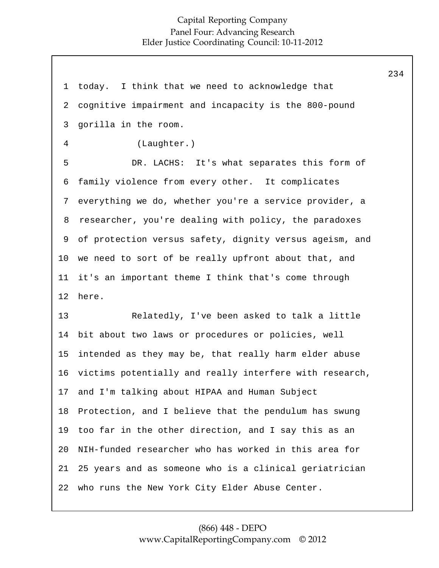1 2 3 4 5 6 7 **8** 9 10 11 12 13 14 15 16 17 18 19 20 21 22 today. I think that we need to acknowledge that cognitive impairment and incapacity is the 800-pound gorilla in the room. (Laughter.) DR. LACHS: It's what separates this form of family violence from every other. It complicates everything we do, whether you're a service provider, a researcher, you're dealing with policy, the paradoxes of protection versus safety, dignity versus ageism, and we need to sort of be really upfront about that, and it's an important theme I think that's come through here. Relatedly, I've been asked to talk a little bit about two laws or procedures or policies, well intended as they may be, that really harm elder abuse victims potentially and really interfere with research, and I'm talking about HIPAA and Human Subject Protection, and I believe that the pendulum has swung too far in the other direction, and I say this as an NIH-funded researcher who has worked in this area for 25 years and as someone who is a clinical geriatrician who runs the New York City Elder Abuse Center.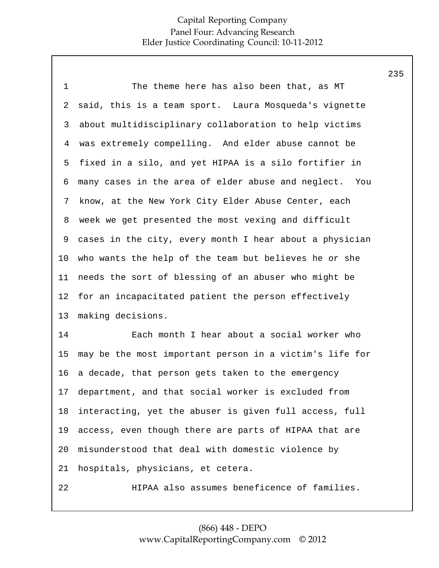| $\mathbf 1$    | The theme here has also been that, as MT                |
|----------------|---------------------------------------------------------|
| 2              | said, this is a team sport. Laura Mosqueda's vignette   |
| 3              | about multidisciplinary collaboration to help victims   |
| $\overline{4}$ | was extremely compelling. And elder abuse cannot be     |
| 5              | fixed in a silo, and yet HIPAA is a silo fortifier in   |
| 6              | many cases in the area of elder abuse and neglect. You  |
| 7              | know, at the New York City Elder Abuse Center, each     |
| 8              | week we get presented the most vexing and difficult     |
| 9              | cases in the city, every month I hear about a physician |
| 10             | who wants the help of the team but believes he or she   |
| 11             | needs the sort of blessing of an abuser who might be    |
| 12             | for an incapacitated patient the person effectively     |
| 13             | making decisions.                                       |
| 14             | Each month I hear about a social worker who             |
| 15             | may be the most important person in a victim's life for |
| 16             | a decade, that person gets taken to the emergency       |
| 17             | department, and that social worker is excluded from     |
| 18             | interacting, yet the abuser is given full access, full  |
| 19             | access, even though there are parts of HIPAA that are   |
| 20             | misunderstood that deal with domestic violence by       |
| 21             | hospitals, physicians, et cetera.                       |
| 22             | HIPAA also assumes beneficence of families.             |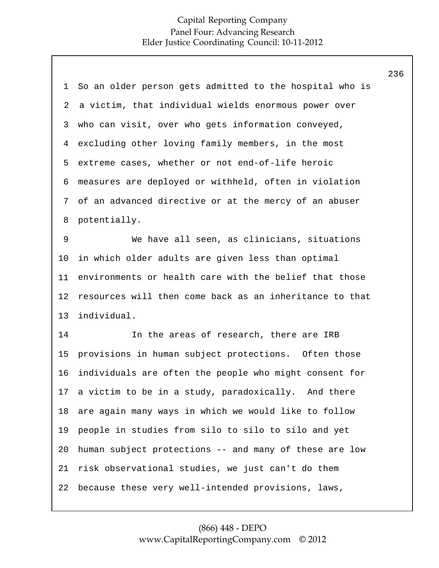|                                                           | 236 |
|-----------------------------------------------------------|-----|
| So an older person gets admitted to the hospital who is   |     |
| a victim, that individual wields enormous power over      |     |
| who can visit, over who gets information conveyed,        |     |
| excluding other loving family members, in the most        |     |
| extreme cases, whether or not end-of-life heroic          |     |
| measures are deployed or withheld, often in violation     |     |
| of an advanced directive or at the mercy of an abuser     |     |
| potentially.                                              |     |
| We have all seen, as clinicians, situations               |     |
| in which older adults are given less than optimal         |     |
| environments or health care with the belief that those    |     |
| resources will then come back as an inheritance to that   |     |
| individual.                                               |     |
| In the areas of research, there are IRB                   |     |
| provisions in human subject protections. Often those      |     |
| individuals are often the people who might consent for    |     |
| a victim to be in a study, paradoxically. And there<br>17 |     |
| are again many ways in which we would like to follow      |     |
| people in studies from silo to silo to silo and yet       |     |
| human subject protections -- and many of these are low    |     |
| risk observational studies, we just can't do them         |     |
| because these very well-intended provisions, laws,        |     |
|                                                           |     |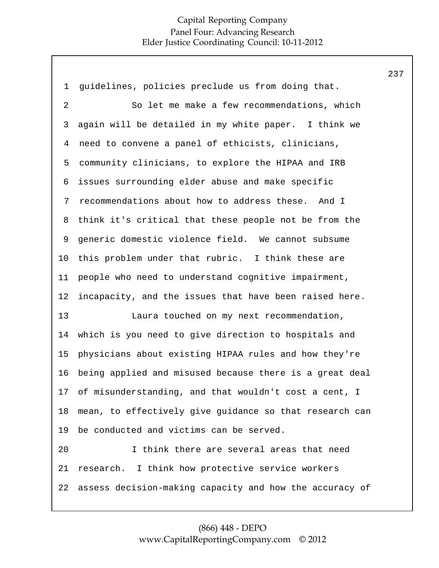1 2 3 4 5 6 7 8 9 10 11 12 13 14 15 16 17 18 19 20 21 22 guidelines, policies preclude us from doing that. So let me make a few recommendations, which again will be detailed in my white paper. I think we need to convene a panel of ethicists, clinicians, community clinicians, to explore the HIPAA and IRB issues surrounding elder abuse and make specific recommendations about how to address these. And I think it's critical that these people not be from the generic domestic violence field. We cannot subsume this problem under that rubric. I think these are people who need to understand cognitive impairment, incapacity, and the issues that have been raised here. Laura touched on my next recommendation, which is you need to give direction to hospitals and physicians about existing HIPAA rules and how they're being applied and misused because there is a great deal of misunderstanding, and that wouldn't cost a cent, I mean, to effectively give guidance so that research can be conducted and victims can be served. I think there are several areas that need research. I think how protective service workers assess decision-making capacity and how the accuracy of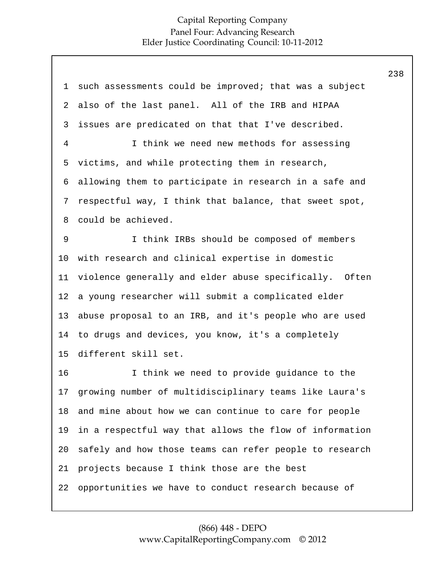1 2 3 4 5 6 7 8 9 10 11 12 13 14 15 16 17 18 19 20 21 22 such assessments could be improved; that was a subject also of the last panel. All of the IRB and HIPAA issues are predicated on that that I've described. I think we need new methods for assessing victims, and while protecting them in research, allowing them to participate in research in a safe and respectful way, I think that balance, that sweet spot, could be achieved. I think IRBs should be composed of members with research and clinical expertise in domestic violence generally and elder abuse specifically. Often a young researcher will submit a complicated elder abuse proposal to an IRB, and it's people who are used to drugs and devices, you know, it's a completely different skill set. I think we need to provide guidance to the growing number of multidisciplinary teams like Laura's and mine about how we can continue to care for people in a respectful way that allows the flow of information safely and how those teams can refer people to research projects because I think those are the best opportunities we have to conduct research because of 238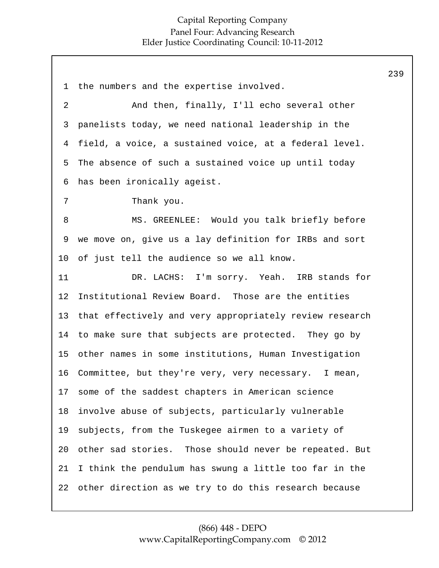1 2 3 4 5 6 7 8 9 10 11 12 13 14 15 16 17 18 19 20 21 22 the numbers and the expertise involved. And then, finally, I'll echo several other panelists today, we need national leadership in the field, a voice, a sustained voice, at a federal level. The absence of such a sustained voice up until today has been ironically ageist. Thank you. MS. GREENLEE: Would you talk briefly before we move on, give us a lay definition for IRBs and sort of just tell the audience so we all know. DR. LACHS: I'm sorry. Yeah. IRB stands for Institutional Review Board. Those are the entities that effectively and very appropriately review research to make sure that subjects are protected. They go by other names in some institutions, Human Investigation Committee, but they're very, very necessary. I mean, some of the saddest chapters in American science involve abuse of subjects, particularly vulnerable subjects, from the Tuskegee airmen to a variety of other sad stories. Those should never be repeated. But I think the pendulum has swung a little too far in the other direction as we try to do this research because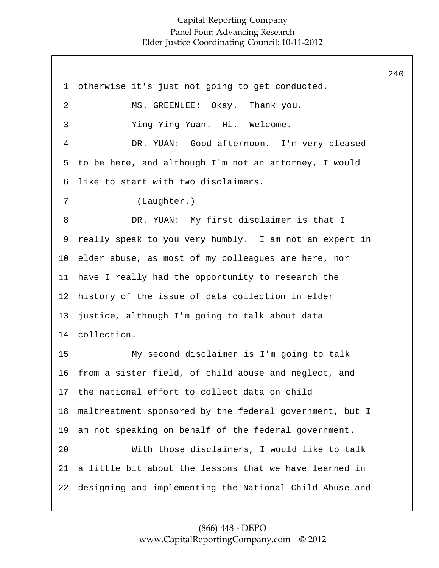1 2 3 4 5 6 7 8 9 10 11 12 13 14 15 16 17 18 19 20 21 22 otherwise it's just not going to get conducted. MS. GREENLEE: Okay. Thank you. Ying-Ying Yuan. Hi. Welcome. DR. YUAN: Good afternoon. I'm very pleased to be here, and although I'm not an attorney, I would like to start with two disclaimers. (Laughter.) DR. YUAN: My first disclaimer is that I really speak to you very humbly. I am not an expert in elder abuse, as most of my colleagues are here, nor have I really had the opportunity to research the history of the issue of data collection in elder justice, although I'm going to talk about data collection. My second disclaimer is I'm going to talk from a sister field, of child abuse and neglect, and the national effort to collect data on child maltreatment sponsored by the federal government, but I am not speaking on behalf of the federal government. With those disclaimers, I would like to talk a little bit about the lessons that we have learned in designing and implementing the National Child Abuse and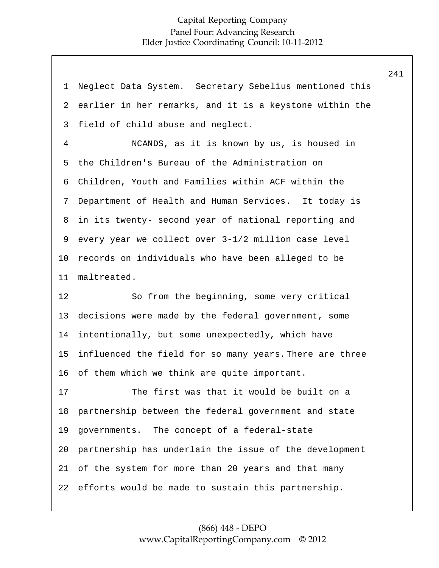| $\mathbf 1$    | Neglect Data System. Secretary Sebelius mentioned this  |
|----------------|---------------------------------------------------------|
| $\overline{2}$ | earlier in her remarks, and it is a keystone within the |
| 3              | field of child abuse and neglect.                       |
| $\overline{4}$ | NCANDS, as it is known by us, is housed in              |
| 5              | the Children's Bureau of the Administration on          |
| 6              | Children, Youth and Families within ACF within the      |
| 7              | Department of Health and Human Services. It today is    |
| 8              | in its twenty- second year of national reporting and    |
| 9              | every year we collect over 3-1/2 million case level     |
| $10 \,$        | records on individuals who have been alleged to be      |
| 11             | maltreated.                                             |
|                |                                                         |
| 12             | So from the beginning, some very critical               |
| 13             | decisions were made by the federal government, some     |
| 14             | intentionally, but some unexpectedly, which have        |
| 15             | influenced the field for so many years. There are three |
| 16             | of them which we think are quite important.             |
| 17             | The first was that it would be built on a               |
| 18             | partnership between the federal government and state    |
| 19             | governments. The concept of a federal-state             |
| 20             | partnership has underlain the issue of the development  |
| 21             | of the system for more than 20 years and that many      |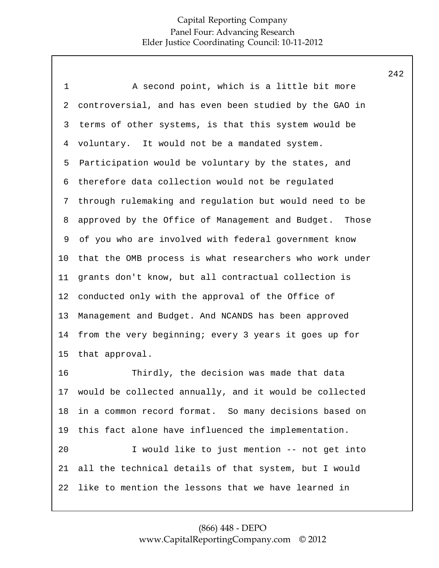| $\mathbf 1$ | A second point, which is a little bit more                |
|-------------|-----------------------------------------------------------|
| 2           | controversial, and has even been studied by the GAO in    |
| 3           | terms of other systems, is that this system would be      |
| 4           | voluntary. It would not be a mandated system.             |
| 5           | Participation would be voluntary by the states, and       |
| 6           | therefore data collection would not be regulated          |
| 7           | through rulemaking and regulation but would need to be    |
| 8           | approved by the Office of Management and Budget. Those    |
| 9           | of you who are involved with federal government know      |
| $10 \,$     | that the OMB process is what researchers who work under   |
| 11          | grants don't know, but all contractual collection is      |
| 12          | conducted only with the approval of the Office of         |
| 13          | Management and Budget. And NCANDS has been approved       |
| 14          | from the very beginning; every 3 years it goes up for     |
| 15          | that approval.                                            |
| 16          | Thirdly, the decision was made that data                  |
|             | 17 would be collected annually, and it would be collected |
| 18          | in a common record format. So many decisions based on     |
| 19          | this fact alone have influenced the implementation.       |
| 20          | I would like to just mention -- not get into              |
| 21          | all the technical details of that system, but I would     |
| 22          | like to mention the lessons that we have learned in       |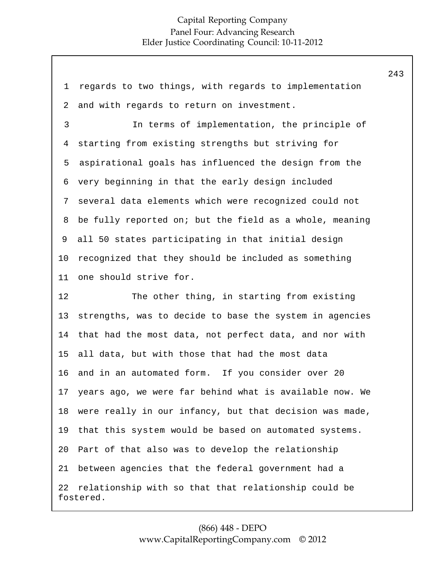| 1  | regards to two things, with regards to implementation             |
|----|-------------------------------------------------------------------|
| 2  | and with regards to return on investment.                         |
| 3  | In terms of implementation, the principle of                      |
| 4  | starting from existing strengths but striving for                 |
| 5  | aspirational goals has influenced the design from the             |
| 6  | very beginning in that the early design included                  |
| 7  | several data elements which were recognized could not             |
| 8  | be fully reported on; but the field as a whole, meaning           |
| 9  | all 50 states participating in that initial design                |
| 10 | recognized that they should be included as something              |
| 11 | one should strive for.                                            |
| 12 | The other thing, in starting from existing                        |
| 13 | strengths, was to decide to base the system in agencies           |
| 14 | that had the most data, not perfect data, and nor with            |
| 15 | all data, but with those that had the most data                   |
| 16 | and in an automated form. If you consider over 20                 |
| 17 | years ago, we were far behind what is available now. We           |
| 18 | were really in our infancy, but that decision was made,           |
| 19 | that this system would be based on automated systems.             |
| 20 | Part of that also was to develop the relationship                 |
| 21 | between agencies that the federal government had a                |
| 22 | relationship with so that that relationship could be<br>fostered. |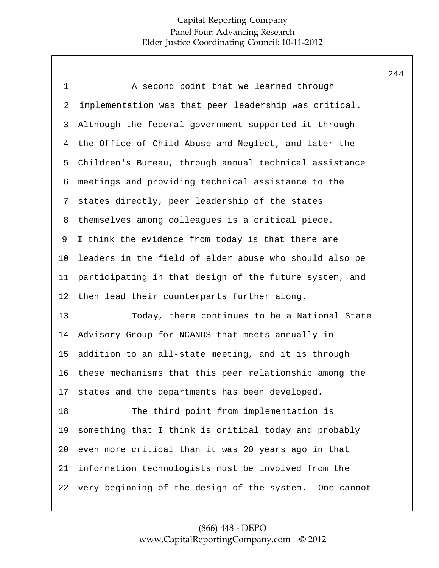| A second point that we learned through                    |
|-----------------------------------------------------------|
| implementation was that peer leadership was critical.     |
| Although the federal government supported it through      |
| the Office of Child Abuse and Neglect, and later the      |
| Children's Bureau, through annual technical assistance    |
| meetings and providing technical assistance to the        |
| states directly, peer leadership of the states            |
| themselves among colleagues is a critical piece.          |
| I think the evidence from today is that there are         |
| leaders in the field of elder abuse who should also be    |
| participating in that design of the future system, and    |
| then lead their counterparts further along.               |
| Today, there continues to be a National State             |
| Advisory Group for NCANDS that meets annually in          |
| addition to an all-state meeting, and it is through       |
| these mechanisms that this peer relationship among the    |
| 17 states and the departments has been developed.         |
| The third point from implementation is                    |
| something that I think is critical today and probably     |
| even more critical than it was 20 years ago in that       |
| information technologists must be involved from the       |
| very beginning of the design of the system.<br>One cannot |
|                                                           |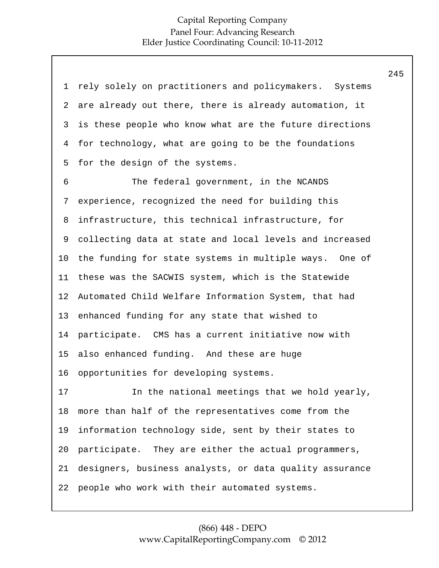| 1              | rely solely on practitioners and policymakers. Systems  |
|----------------|---------------------------------------------------------|
| 2              | are already out there, there is already automation, it  |
| 3              | is these people who know what are the future directions |
| $\overline{4}$ | for technology, what are going to be the foundations    |
| 5              | for the design of the systems.                          |
| 6              | The federal government, in the NCANDS                   |
| 7              | experience, recognized the need for building this       |
| 8              | infrastructure, this technical infrastructure, for      |
| 9              | collecting data at state and local levels and increased |
| 10             | the funding for state systems in multiple ways. One of  |
| 11             | these was the SACWIS system, which is the Statewide     |
| 12             | Automated Child Welfare Information System, that had    |
| 13             | enhanced funding for any state that wished to           |
| 14             | participate. CMS has a current initiative now with      |
| 15             | also enhanced funding. And these are huge               |
| 16             | opportunities for developing systems.                   |
| 17             | In the national meetings that we hold yearly,           |
| 18             | more than half of the representatives come from the     |
| 19             | information technology side, sent by their states to    |
| 20             | participate. They are either the actual programmers,    |
| 21             | designers, business analysts, or data quality assurance |
| 22             | people who work with their automated systems.           |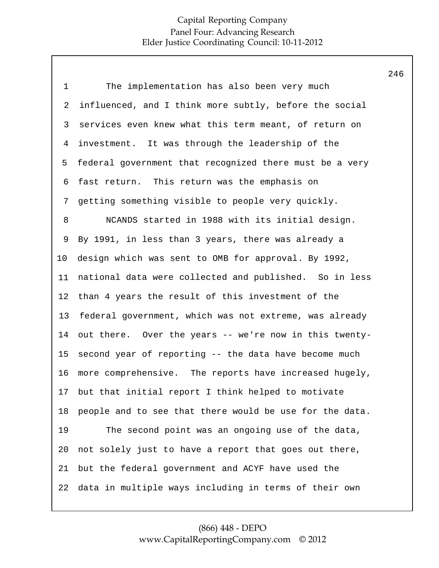1 2 3 4 5 6 7 8 9 10 11 12 13 14 15 16 17 18 19 20 21 22 The implementation has also been very much influenced, and I think more subtly, before the social services even knew what this term meant, of return on investment. It was through the leadership of the federal government that recognized there must be a very fast return. This return was the emphasis on getting something visible to people very quickly. NCANDS started in 1988 with its initial design. By 1991, in less than 3 years, there was already a design which was sent to OMB for approval. By 1992, national data were collected and published. So in less than 4 years the result of this investment of the federal government, which was not extreme, was already out there. Over the years -- we're now in this twentysecond year of reporting -- the data have become much more comprehensive. The reports have increased hugely, but that initial report I think helped to motivate people and to see that there would be use for the data. The second point was an ongoing use of the data, not solely just to have a report that goes out there, but the federal government and ACYF have used the data in multiple ways including in terms of their own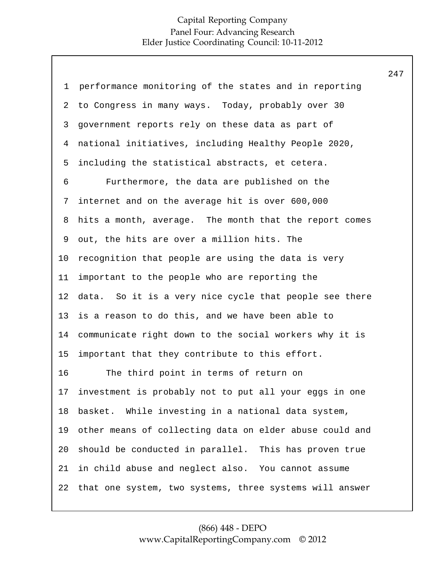|             |                                                         | 247 |
|-------------|---------------------------------------------------------|-----|
| $\mathbf 1$ | performance monitoring of the states and in reporting   |     |
| 2           | to Congress in many ways. Today, probably over 30       |     |
| 3           | government reports rely on these data as part of        |     |
| 4           | national initiatives, including Healthy People 2020,    |     |
| 5           | including the statistical abstracts, et cetera.         |     |
| 6           | Furthermore, the data are published on the              |     |
| 7           | internet and on the average hit is over 600,000         |     |
| 8           | hits a month, average. The month that the report comes  |     |
| 9           | out, the hits are over a million hits. The              |     |
| 10          | recognition that people are using the data is very      |     |
| 11          | important to the people who are reporting the           |     |
| 12          | data. So it is a very nice cycle that people see there  |     |
| 13          | is a reason to do this, and we have been able to        |     |
| 14          | communicate right down to the social workers why it is  |     |
| 15          | important that they contribute to this effort.          |     |
| 16          | The third point in terms of return on                   |     |
| 17          | investment is probably not to put all your eggs in one  |     |
| 18          | basket. While investing in a national data system,      |     |
| 19          | other means of collecting data on elder abuse could and |     |
| 20          | should be conducted in parallel. This has proven true   |     |
| 21          | in child abuse and neglect also. You cannot assume      |     |
| 22          | that one system, two systems, three systems will answer |     |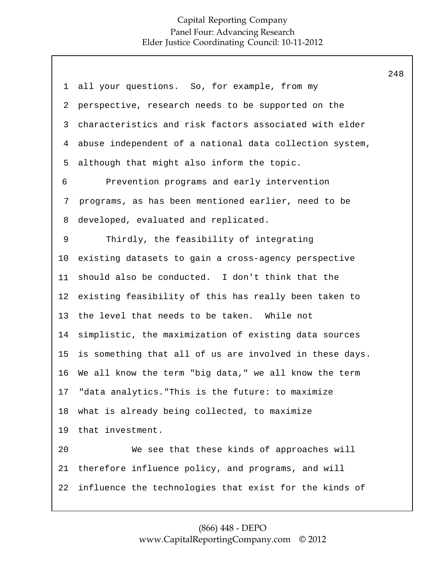1 2 3 4 5 6 7 8 9 10 11 12 13 14 15 16 17 18 19 20 21 22 all your questions. So, for example, from my perspective, research needs to be supported on the characteristics and risk factors associated with elder abuse independent of a national data collection system, although that might also inform the topic. Prevention programs and early intervention programs, as has been mentioned earlier, need to be developed, evaluated and replicated. Thirdly, the feasibility of integrating existing datasets to gain a cross-agency perspective should also be conducted. I don't think that the existing feasibility of this has really been taken to the level that needs to be taken. While not simplistic, the maximization of existing data sources is something that all of us are involved in these days. We all know the term "big data," we all know the term "data analytics."This is the future: to maximize what is already being collected, to maximize that investment. We see that these kinds of approaches will therefore influence policy, and programs, and will influence the technologies that exist for the kinds of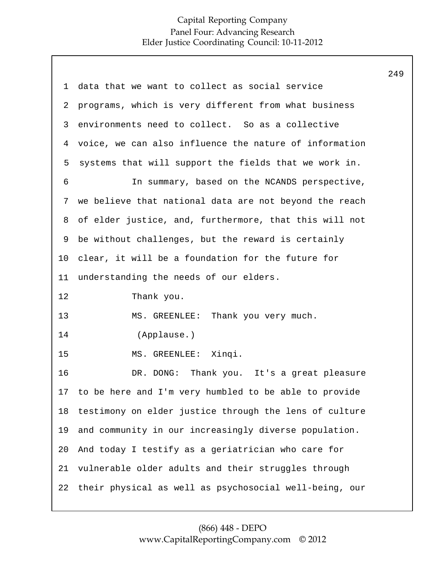| 1  | data that we want to collect as social service         |
|----|--------------------------------------------------------|
| 2  | programs, which is very different from what business   |
| 3  | environments need to collect. So as a collective       |
| 4  | voice, we can also influence the nature of information |
| 5  | systems that will support the fields that we work in.  |
| 6  | In summary, based on the NCANDS perspective,           |
| 7  | we believe that national data are not beyond the reach |
| 8  | of elder justice, and, furthermore, that this will not |
| 9  | be without challenges, but the reward is certainly     |
| 10 | clear, it will be a foundation for the future for      |
| 11 | understanding the needs of our elders.                 |
|    |                                                        |
| 12 | Thank you.                                             |
| 13 | MS. GREENLEE: Thank you very much.                     |
| 14 | (Applause.)                                            |
| 15 | MS. GREENLEE: Xinqi.                                   |
| 16 | DR. DONG: Thank you. It's a great pleasure             |
| 17 | to be here and I'm very humbled to be able to provide  |
| 18 | testimony on elder justice through the lens of culture |
| 19 | and community in our increasingly diverse population.  |
| 20 | And today I testify as a geriatrician who care for     |
| 21 | vulnerable older adults and their struggles through    |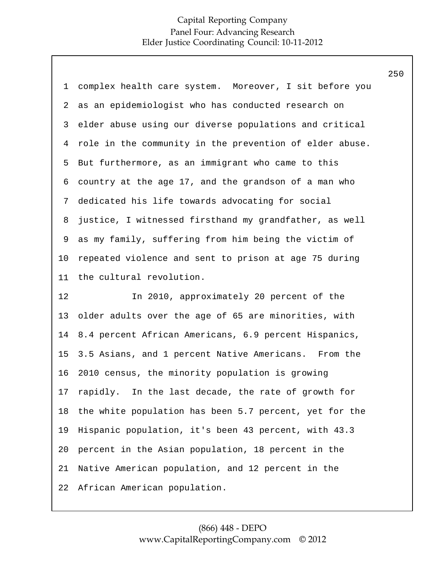|             |                                                         | 250 |
|-------------|---------------------------------------------------------|-----|
| $\mathbf 1$ | complex health care system. Moreover, I sit before you  |     |
| 2           | as an epidemiologist who has conducted research on      |     |
| 3           | elder abuse using our diverse populations and critical  |     |
| 4           | role in the community in the prevention of elder abuse. |     |
| 5           | But furthermore, as an immigrant who came to this       |     |
| 6           | country at the age 17, and the grandson of a man who    |     |
| 7           | dedicated his life towards advocating for social        |     |
| 8           | justice, I witnessed firsthand my grandfather, as well  |     |
| 9           | as my family, suffering from him being the victim of    |     |
| $10 \,$     | repeated violence and sent to prison at age 75 during   |     |
| 11          | the cultural revolution.                                |     |
| 12          | In 2010, approximately 20 percent of the                |     |
| 13          | older adults over the age of 65 are minorities, with    |     |
| 14          | 8.4 percent African Americans, 6.9 percent Hispanics,   |     |
| 15          | 3.5 Asians, and 1 percent Native Americans. From the    |     |
| 16          | 2010 census, the minority population is growing         |     |
| 17          | rapidly. In the last decade, the rate of growth for     |     |
| 18          | the white population has been 5.7 percent, yet for the  |     |
| 19          | Hispanic population, it's been 43 percent, with 43.3    |     |
| 20          | percent in the Asian population, 18 percent in the      |     |
| 21          | Native American population, and 12 percent in the       |     |
| 22          | African American population.                            |     |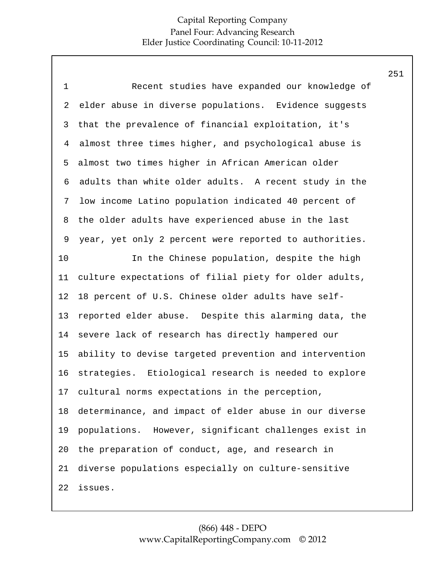| $\mathbf 1$ | Recent studies have expanded our knowledge of          |
|-------------|--------------------------------------------------------|
| 2           | elder abuse in diverse populations. Evidence suggests  |
| 3           | that the prevalence of financial exploitation, it's    |
| 4           | almost three times higher, and psychological abuse is  |
| 5           | almost two times higher in African American older      |
| 6           | adults than white older adults. A recent study in the  |
| 7           | low income Latino population indicated 40 percent of   |
| 8           | the older adults have experienced abuse in the last    |
| 9           | year, yet only 2 percent were reported to authorities. |
| 10          | In the Chinese population, despite the high            |
| 11          | culture expectations of filial piety for older adults, |
| 12          | 18 percent of U.S. Chinese older adults have self-     |
| 13          | reported elder abuse. Despite this alarming data, the  |
| 14          | severe lack of research has directly hampered our      |
| 15          | ability to devise targeted prevention and intervention |
| 16          | strategies. Etiological research is needed to explore  |
| 17          | cultural norms expectations in the perception,         |
| 18          | determinance, and impact of elder abuse in our diverse |
| 19          | populations. However, significant challenges exist in  |
| 20          | the preparation of conduct, age, and research in       |
| 21          | diverse populations especially on culture-sensitive    |
| 22          | issues.                                                |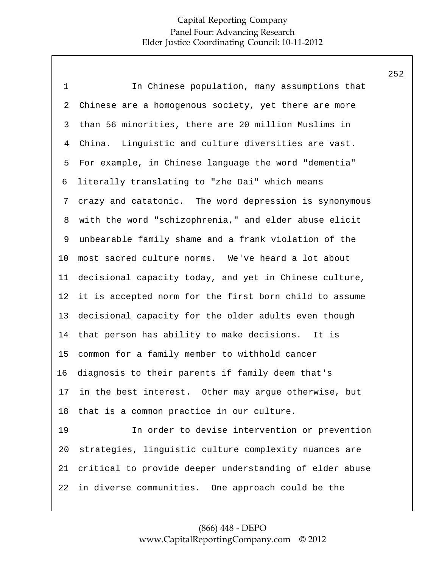| $\mathbf 1$    | In Chinese population, many assumptions that            |
|----------------|---------------------------------------------------------|
| $\overline{a}$ | Chinese are a homogenous society, yet there are more    |
| 3              | than 56 minorities, there are 20 million Muslims in     |
| 4              | Linguistic and culture diversities are vast.<br>China.  |
| 5              | For example, in Chinese language the word "dementia"    |
| 6              | literally translating to "zhe Dai" which means          |
| 7              | crazy and catatonic. The word depression is synonymous  |
| 8              | with the word "schizophrenia," and elder abuse elicit   |
| 9              | unbearable family shame and a frank violation of the    |
| 10             | most sacred culture norms. We've heard a lot about      |
| 11             | decisional capacity today, and yet in Chinese culture,  |
| 12             | it is accepted norm for the first born child to assume  |
| 13             | decisional capacity for the older adults even though    |
| 14             | that person has ability to make decisions. It is        |
| 15             | common for a family member to withhold cancer           |
| 16             | diagnosis to their parents if family deem that's        |
| 17             | in the best interest. Other may argue otherwise, but    |
| 18             | that is a common practice in our culture.               |
| 19             | In order to devise intervention or prevention           |
| 20             | strategies, linguistic culture complexity nuances are   |
| 21             | critical to provide deeper understanding of elder abuse |
| 22             | in diverse communities. One approach could be the       |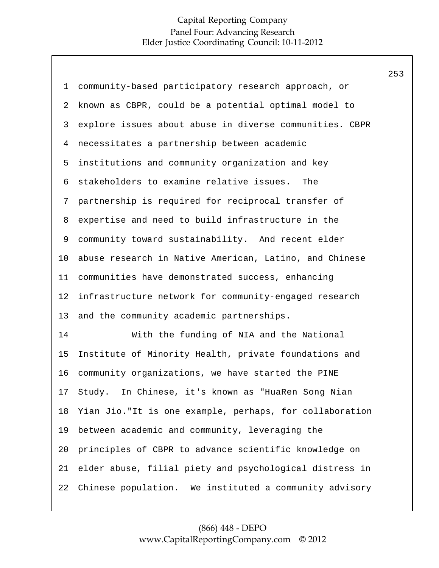| $\mathbf 1$    | community-based participatory research approach, or     |
|----------------|---------------------------------------------------------|
| 2              | known as CBPR, could be a potential optimal model to    |
| 3              | explore issues about abuse in diverse communities. CBPR |
| $\overline{4}$ | necessitates a partnership between academic             |
| 5              | institutions and community organization and key         |
| 6              | stakeholders to examine relative issues.<br>The         |
| 7              | partnership is required for reciprocal transfer of      |
| 8              | expertise and need to build infrastructure in the       |
| 9              | community toward sustainability. And recent elder       |
| 10             | abuse research in Native American, Latino, and Chinese  |
| 11             | communities have demonstrated success, enhancing        |
| 12             | infrastructure network for community-engaged research   |
| 13             | and the community academic partnerships.                |
| 14             | With the funding of NIA and the National                |
| 15             | Institute of Minority Health, private foundations and   |
| 16             | community organizations, we have started the PINE       |
| 17             | Study. In Chinese, it's known as "HuaRen Song Nian      |
| 18             | Yian Jio."It is one example, perhaps, for collaboration |
| 19             | between academic and community, leveraging the          |
| 20             | principles of CBPR to advance scientific knowledge on   |
| 21             | elder abuse, filial piety and psychological distress in |
| 22             | Chinese population. We instituted a community advisory  |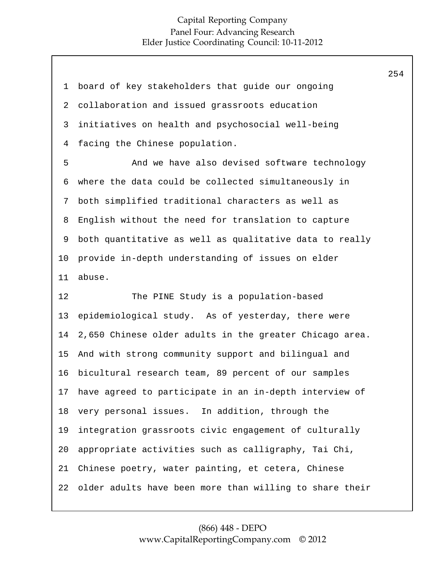| $\mathbf{1}$   | board of key stakeholders that guide our ongoing        |
|----------------|---------------------------------------------------------|
| 2              | collaboration and issued grassroots education           |
| 3              | initiatives on health and psychosocial well-being       |
| $\overline{4}$ | facing the Chinese population.                          |
| 5              | And we have also devised software technology            |
| 6              | where the data could be collected simultaneously in     |
| 7              | both simplified traditional characters as well as       |
| 8              | English without the need for translation to capture     |
| 9              | both quantitative as well as qualitative data to really |
| 10             | provide in-depth understanding of issues on elder       |
| 11             | abuse.                                                  |
|                |                                                         |
| 12             | The PINE Study is a population-based                    |
| 13             | epidemiological study. As of yesterday, there were      |
| 14             | 2,650 Chinese older adults in the greater Chicago area. |
| 15             | And with strong community support and bilingual and     |
| 16             | bicultural research team, 89 percent of our samples     |
| 17             | have agreed to participate in an in-depth interview of  |
| 18             | very personal issues. In addition, through the          |
| 19             | integration grassroots civic engagement of culturally   |
| 20             | appropriate activities such as calligraphy, Tai Chi,    |
| 21             | Chinese poetry, water painting, et cetera, Chinese      |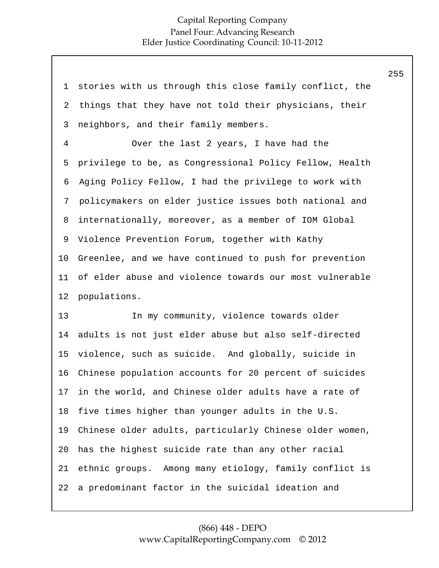| $\mathbf 1$    | stories with us through this close family conflict, the |
|----------------|---------------------------------------------------------|
| 2              | things that they have not told their physicians, their  |
| 3              | neighbors, and their family members.                    |
| $\overline{4}$ | Over the last 2 years, I have had the                   |
| 5              | privilege to be, as Congressional Policy Fellow, Health |
| 6              | Aging Policy Fellow, I had the privilege to work with   |
| 7              | policymakers on elder justice issues both national and  |
| 8              | internationally, moreover, as a member of IOM Global    |
| 9              | Violence Prevention Forum, together with Kathy          |
| 10             | Greenlee, and we have continued to push for prevention  |
| 11             | of elder abuse and violence towards our most vulnerable |
| 12             | populations.                                            |
| 13             | In my community, violence towards older                 |
| 14             | adults is not just elder abuse but also self-directed   |
| 15             | violence, such as suicide. And globally, suicide in     |
| 16             | Chinese population accounts for 20 percent of suicides  |
| 17             | in the world, and Chinese older adults have a rate of   |
| 18             | five times higher than younger adults in the U.S.       |
| 19             | Chinese older adults, particularly Chinese older women, |
| 20             | has the highest suicide rate than any other racial      |
| 21             |                                                         |
|                | ethnic groups. Among many etiology, family conflict is  |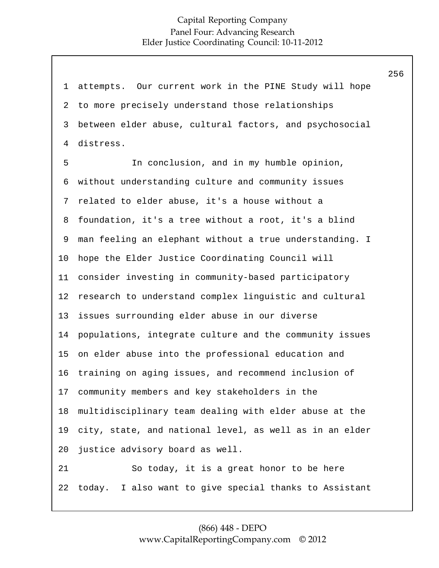1 2 3 4 5 6 7 8 9 10 11 12 13 14 15 16 17 18 19 20 21 22 attempts. Our current work in the PINE Study will hope to more precisely understand those relationships between elder abuse, cultural factors, and psychosocial distress. In conclusion, and in my humble opinion, without understanding culture and community issues related to elder abuse, it's a house without a foundation, it's a tree without a root, it's a blind man feeling an elephant without a true understanding. I hope the Elder Justice Coordinating Council will consider investing in community-based participatory research to understand complex linguistic and cultural issues surrounding elder abuse in our diverse populations, integrate culture and the community issues on elder abuse into the professional education and training on aging issues, and recommend inclusion of community members and key stakeholders in the multidisciplinary team dealing with elder abuse at the city, state, and national level, as well as in an elder justice advisory board as well. So today, it is a great honor to be here today. I also want to give special thanks to Assistant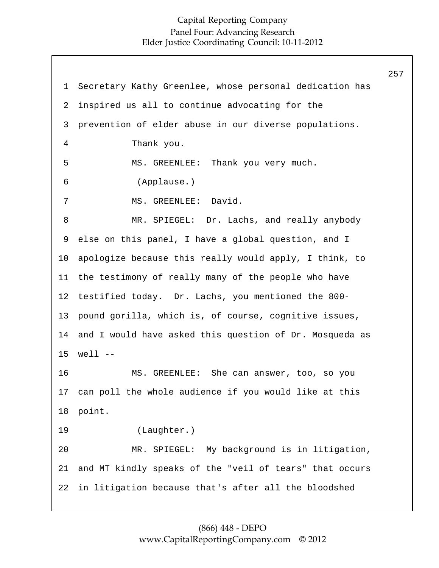1 2 3 4 5 6 7 8 9 10 11 12 13 Secretary Kathy Greenlee, whose personal dedication has inspired us all to continue advocating for the prevention of elder abuse in our diverse populations. Thank you. MS. GREENLEE: Thank you very much. (Applause.) MS. GREENLEE: David. MR. SPIEGEL: Dr. Lachs, and really anybody else on this panel, I have a global question, and I apologize because this really would apply, I think, to the testimony of really many of the people who have testified today. Dr. Lachs, you mentioned the 800 pound gorilla, which is, of course, cognitive issues, and I would have asked this question of Dr. Mosqueda as  $well$   $-$ 14 15 16 17 18 19 20 21 22 MS. GREENLEE: She can answer, too, so you can poll the whole audience if you would like at this point. (Laughter.) MR. SPIEGEL: My background is in litigation, and MT kindly speaks of the "veil of tears" that occurs in litigation because that's after all the bloodshed 257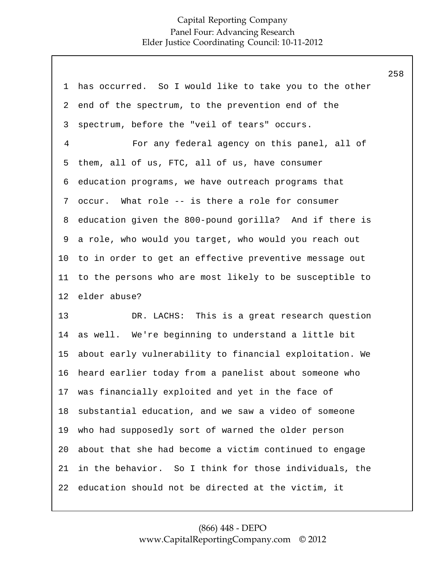|                |                                                         | 258 |
|----------------|---------------------------------------------------------|-----|
| 1              | has occurred. So I would like to take you to the other  |     |
| 2              | end of the spectrum, to the prevention end of the       |     |
| 3              | spectrum, before the "veil of tears" occurs.            |     |
| $\overline{4}$ | For any federal agency on this panel, all of            |     |
| 5              | them, all of us, FTC, all of us, have consumer          |     |
| 6              | education programs, we have outreach programs that      |     |
| 7              | occur. What role -- is there a role for consumer        |     |
| 8              | education given the 800-pound gorilla? And if there is  |     |
| 9              | a role, who would you target, who would you reach out   |     |
| 10             | to in order to get an effective preventive message out  |     |
| 11             | to the persons who are most likely to be susceptible to |     |
| 12             | elder abuse?                                            |     |
| 13             | This is a great research question<br>DR. LACHS:         |     |
| 14             | as well. We're beginning to understand a little bit     |     |
| 15             | about early vulnerability to financial exploitation. We |     |
| 16             | heard earlier today from a panelist about someone who   |     |
| 17             | was financially exploited and yet in the face of        |     |
| 18             | substantial education, and we saw a video of someone    |     |
| 19             | who had supposedly sort of warned the older person      |     |
| 20             | about that she had become a victim continued to engage  |     |
| 21             | in the behavior. So I think for those individuals, the  |     |
| 22             | education should not be directed at the victim, it      |     |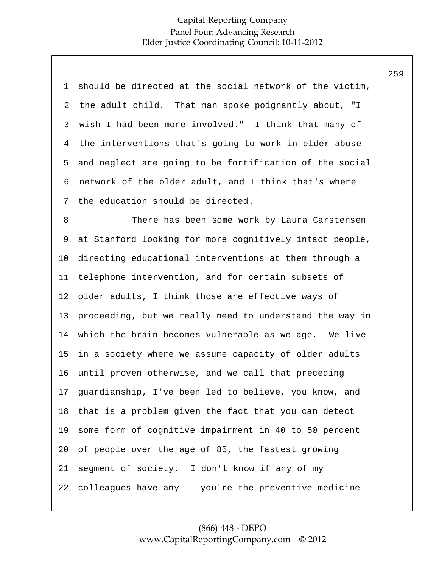| $\mathbf 1$ | should be directed at the social network of the victim, |
|-------------|---------------------------------------------------------|
| 2           | the adult child. That man spoke poignantly about, "I    |
| 3           | wish I had been more involved." I think that many of    |
| 4           | the interventions that's going to work in elder abuse   |
| 5           | and neglect are going to be fortification of the social |
| 6           | network of the older adult, and I think that's where    |
| 7           | the education should be directed.                       |
| 8           | There has been some work by Laura Carstensen            |
| 9           | at Stanford looking for more cognitively intact people, |
| 10          | directing educational interventions at them through a   |
| 11          | telephone intervention, and for certain subsets of      |
| 12          | older adults, I think those are effective ways of       |
| 13          | proceeding, but we really need to understand the way in |
| 14          | which the brain becomes vulnerable as we age. We live   |
| 15          | in a society where we assume capacity of older adults   |
| 16          | until proven otherwise, and we call that preceding      |
| 17          | guardianship, I've been led to believe, you know, and   |
| 18          | that is a problem given the fact that you can detect    |
| 19          | some form of cognitive impairment in 40 to 50 percent   |
| 20          | of people over the age of 85, the fastest growing       |
| 21          | segment of society. I don't know if any of my           |
| 22          | colleagues have any -- you're the preventive medicine   |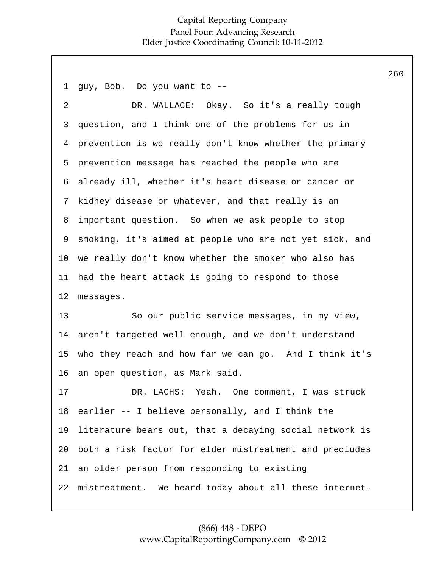1 2 3 4 5 6 7 8 9 10 11 12 13 14 15 16 17 18 19 20 21 22 guy, Bob. Do you want to -- DR. WALLACE: Okay. So it's a really tough question, and I think one of the problems for us in prevention is we really don't know whether the primary prevention message has reached the people who are already ill, whether it's heart disease or cancer or kidney disease or whatever, and that really is an important question. So when we ask people to stop smoking, it's aimed at people who are not yet sick, and we really don't know whether the smoker who also has had the heart attack is going to respond to those messages. So our public service messages, in my view, aren't targeted well enough, and we don't understand who they reach and how far we can go. And I think it's an open question, as Mark said. DR. LACHS: Yeah. One comment, I was struck earlier -- I believe personally, and I think the literature bears out, that a decaying social network is both a risk factor for elder mistreatment and precludes an older person from responding to existing mistreatment. We heard today about all these internet-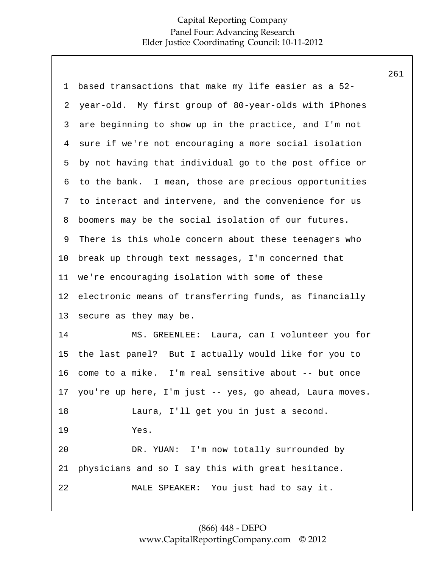| 1               | based transactions that make my life easier as a 52-    |
|-----------------|---------------------------------------------------------|
| 2               | year-old. My first group of 80-year-olds with iPhones   |
| 3               | are beginning to show up in the practice, and I'm not   |
| 4               | sure if we're not encouraging a more social isolation   |
| 5               | by not having that individual go to the post office or  |
| 6               | to the bank. I mean, those are precious opportunities   |
| 7               | to interact and intervene, and the convenience for us   |
| 8               | boomers may be the social isolation of our futures.     |
| 9               | There is this whole concern about these teenagers who   |
| 10              | break up through text messages, I'm concerned that      |
| 11              | we're encouraging isolation with some of these          |
| 12              | electronic means of transferring funds, as financially  |
| 13              | secure as they may be.                                  |
| 14              | Laura, can I volunteer you for<br>MS. GREENLEE:         |
| 15              | the last panel? But I actually would like for you to    |
| 16              | come to a mike. I'm real sensitive about -- but once    |
| 17 <sub>2</sub> | you're up here, I'm just -- yes, go ahead, Laura moves. |
| 18              | Laura, I'll get you in just a second.                   |
| 19              | Yes.                                                    |
| 20              | DR. YUAN: I'm now totally surrounded by                 |
| 21              | physicians and so I say this with great hesitance.      |
| 22              | MALE SPEAKER: You just had to say it.                   |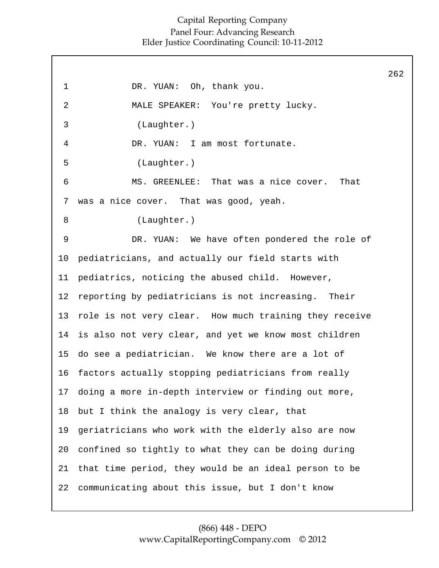1 2 3 4 5 6 7 8 9 10 11 12 13 14 15 16 17 18 19 20 21 22 DR. YUAN: Oh, thank you. MALE SPEAKER: You're pretty lucky. (Laughter.) DR. YUAN: I am most fortunate. (Laughter.) MS. GREENLEE: That was a nice cover. That was a nice cover. That was good, yeah. (Laughter.) DR. YUAN: We have often pondered the role of pediatricians, and actually our field starts with pediatrics, noticing the abused child. However, reporting by pediatricians is not increasing. Their role is not very clear. How much training they receive is also not very clear, and yet we know most children do see a pediatrician. We know there are a lot of factors actually stopping pediatricians from really doing a more in-depth interview or finding out more, but I think the analogy is very clear, that geriatricians who work with the elderly also are now confined so tightly to what they can be doing during that time period, they would be an ideal person to be communicating about this issue, but I don't know 262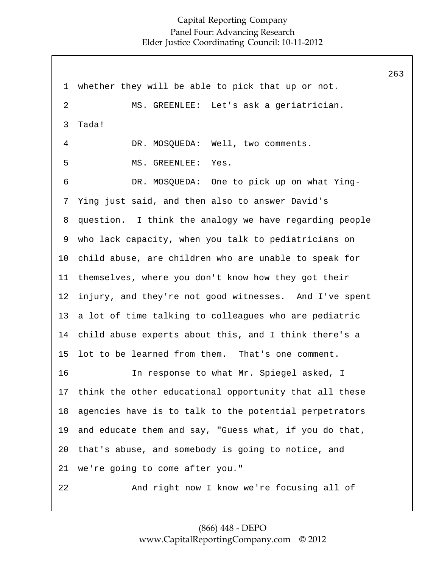1 2 3 4 5 6 7 8 9 10 11 12 13 14 15 16 17 18 19 20 21 22 whether they will be able to pick that up or not. MS. GREENLEE: Let's ask a geriatrician. Tada! DR. MOSOUEDA: Well, two comments. MS. GREENLEE: Yes. DR. MOSQUEDA: One to pick up on what Ying-Ying just said, and then also to answer David's question. I think the analogy we have regarding people who lack capacity, when you talk to pediatricians on child abuse, are children who are unable to speak for themselves, where you don't know how they got their injury, and they're not good witnesses. And I've spent a lot of time talking to colleagues who are pediatric child abuse experts about this, and I think there's a lot to be learned from them. That's one comment. In response to what Mr. Spiegel asked, I think the other educational opportunity that all these agencies have is to talk to the potential perpetrators and educate them and say, "Guess what, if you do that, that's abuse, and somebody is going to notice, and we're going to come after you." And right now I know we're focusing all of 263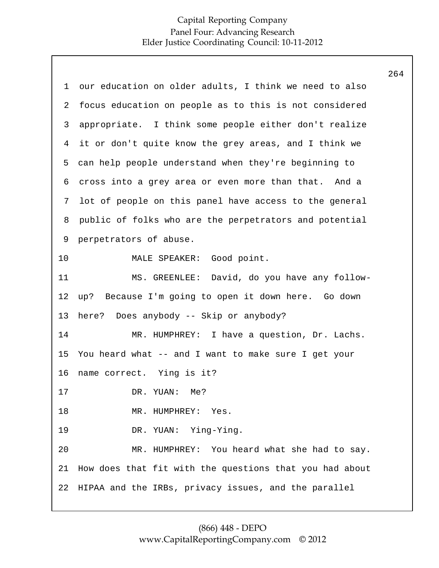14 15 16 17 18 19 20 21 22 1 2 3 4 5 6 7 8 9 10 11 12 13 our education on older adults, I think we need to also focus education on people as to this is not considered appropriate. I think some people either don't realize it or don't quite know the grey areas, and I think we can help people understand when they're beginning to cross into a grey area or even more than that. And a lot of people on this panel have access to the general public of folks who are the perpetrators and potential perpetrators of abuse. MALE SPEAKER: Good point. MS. GREENLEE: David, do you have any followup? Because I'm going to open it down here. Go down here? Does anybody -- Skip or anybody? MR. HUMPHREY: I have a question, Dr. Lachs. You heard what -- and I want to make sure I get your name correct. Ying is it? DR. YUAN: Me? MR. HUMPHREY: Yes. DR. YUAN: Ying-Ying. MR. HUMPHREY: You heard what she had to say. How does that fit with the questions that you had about HIPAA and the IRBs, privacy issues, and the parallel 264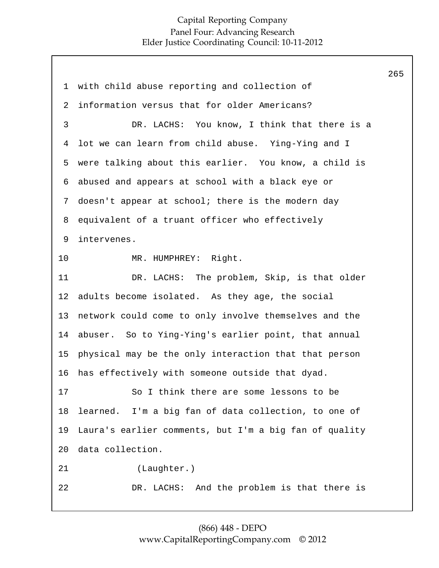|                |                                                        | 265 |
|----------------|--------------------------------------------------------|-----|
| $\mathbf 1$    | with child abuse reporting and collection of           |     |
| $\overline{a}$ | information versus that for older Americans?           |     |
| 3              | DR. LACHS: You know, I think that there is a           |     |
| 4              | lot we can learn from child abuse. Ying-Ying and I     |     |
| 5              | were talking about this earlier. You know, a child is  |     |
| 6              | abused and appears at school with a black eye or       |     |
| 7              | doesn't appear at school; there is the modern day      |     |
| 8              | equivalent of a truant officer who effectively         |     |
| 9              | intervenes.                                            |     |
| 10             | MR. HUMPHREY: Right.                                   |     |
| 11             | DR. LACHS: The problem, Skip, is that older            |     |
| 12             | adults become isolated. As they age, the social        |     |
| 13             | network could come to only involve themselves and the  |     |
| 14             | abuser. So to Ying-Ying's earlier point, that annual   |     |
| 15             | physical may be the only interaction that that person  |     |
| 16             | has effectively with someone outside that dyad.        |     |
| 17             | So I think there are some lessons to be                |     |
| 18             | learned. I'm a big fan of data collection, to one of   |     |
| 19             | Laura's earlier comments, but I'm a big fan of quality |     |
| 20             | data collection.                                       |     |
| 21             | (Laughter.)                                            |     |
| 22             | DR. LACHS: And the problem is that there is            |     |
|                |                                                        |     |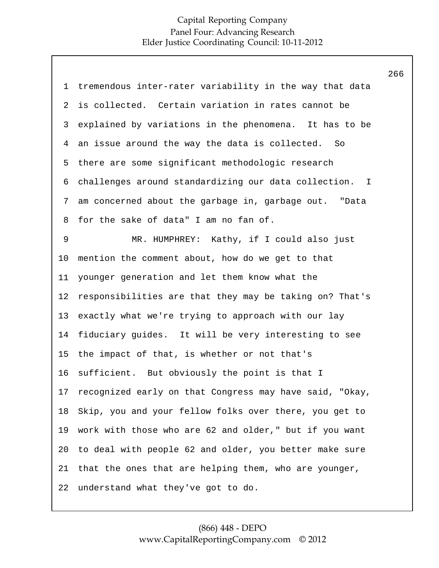1 2 3 4 5 6 7 8 9 10 11 12 13 14 15 16 17 18 19 20 21 22 tremendous inter-rater variability in the way that data is collected. Certain variation in rates cannot be explained by variations in the phenomena. It has to be an issue around the way the data is collected. So there are some significant methodologic research challenges around standardizing our data collection. I am concerned about the garbage in, garbage out. "Data for the sake of data" I am no fan of. MR. HUMPHREY: Kathy, if I could also just mention the comment about, how do we get to that younger generation and let them know what the responsibilities are that they may be taking on? That's exactly what we're trying to approach with our lay fiduciary guides. It will be very interesting to see the impact of that, is whether or not that's sufficient. But obviously the point is that I recognized early on that Congress may have said, "Okay, Skip, you and your fellow folks over there, you get to work with those who are 62 and older," but if you want to deal with people 62 and older, you better make sure that the ones that are helping them, who are younger, understand what they've got to do. 266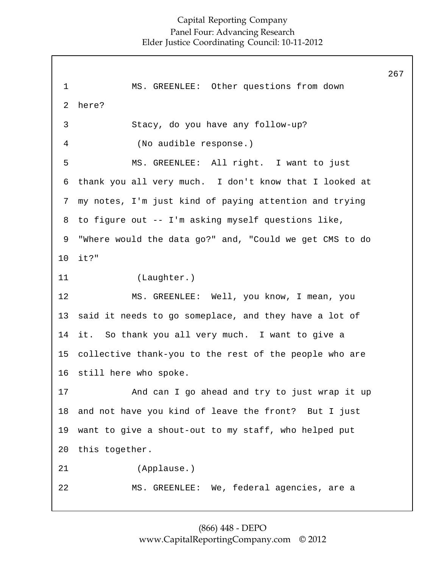|              |                                                         | 267 |
|--------------|---------------------------------------------------------|-----|
| $\mathbf{1}$ | MS. GREENLEE: Other questions from down                 |     |
| 2            | here?                                                   |     |
| 3            | Stacy, do you have any follow-up?                       |     |
| 4            | (No audible response.)                                  |     |
| 5            | MS. GREENLEE: All right. I want to just                 |     |
| 6            | thank you all very much. I don't know that I looked at  |     |
| 7            | my notes, I'm just kind of paying attention and trying  |     |
| 8            | to figure out -- I'm asking myself questions like,      |     |
| 9            | "Where would the data go?" and, "Could we get CMS to do |     |
| 10           | $it?$ "                                                 |     |
| 11           | (Laughter.)                                             |     |
| 12           | MS. GREENLEE: Well, you know, I mean, you               |     |
| 13           | said it needs to go someplace, and they have a lot of   |     |
| 14           | it. So thank you all very much. I want to give a        |     |
| 15           | collective thank-you to the rest of the people who are  |     |
| 16           | still here who spoke.                                   |     |
| 17           | And can I go ahead and try to just wrap it up           |     |
| 18           | and not have you kind of leave the front? But I just    |     |
| 19           | want to give a shout-out to my staff, who helped put    |     |
| 20           | this together.                                          |     |
| 21           | (Applause.)                                             |     |
| 22           | MS. GREENLEE: We, federal agencies, are a               |     |
|              |                                                         |     |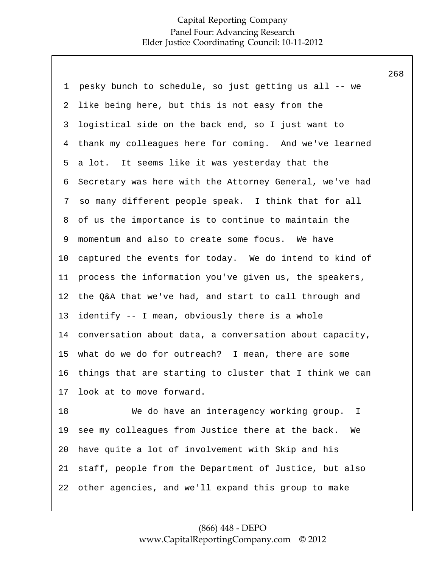268

| 1       | pesky bunch to schedule, so just getting us all -- we    |
|---------|----------------------------------------------------------|
| 2       | like being here, but this is not easy from the           |
| 3       | logistical side on the back end, so I just want to       |
| 4       | thank my colleagues here for coming. And we've learned   |
| 5       | a lot. It seems like it was yesterday that the           |
| 6       | Secretary was here with the Attorney General, we've had  |
| 7       | so many different people speak. I think that for all     |
| 8       | of us the importance is to continue to maintain the      |
| 9       | momentum and also to create some focus. We have          |
| $10 \,$ | captured the events for today. We do intend to kind of   |
| 11      | process the information you've given us, the speakers,   |
| 12      | the Q&A that we've had, and start to call through and    |
| 13      | identify -- I mean, obviously there is a whole           |
| 14      | conversation about data, a conversation about capacity,  |
| 15      | what do we do for outreach? I mean, there are some       |
| 16      | things that are starting to cluster that I think we can  |
| 17      | look at to move forward.                                 |
| 18      | We do have an interagency working group.<br>$\mathbf{I}$ |
| 19      | see my colleagues from Justice there at the back.<br>Wе  |
| 20      | have quite a lot of involvement with Skip and his        |

22 other agencies, and we'll expand this group to make

staff, people from the Department of Justice, but also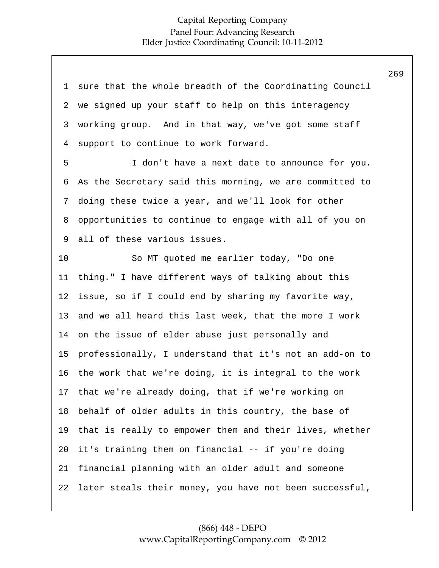| 1              | sure that the whole breadth of the Coordinating Council |
|----------------|---------------------------------------------------------|
| 2              | we signed up your staff to help on this interagency     |
| 3              | working group. And in that way, we've got some staff    |
| $\overline{4}$ | support to continue to work forward.                    |
| 5              | I don't have a next date to announce for you.           |
| 6              | As the Secretary said this morning, we are committed to |
| 7              | doing these twice a year, and we'll look for other      |
| 8              | opportunities to continue to engage with all of you on  |
| 9              | all of these various issues.                            |
| 10             | So MT quoted me earlier today, "Do one                  |
| 11             | thing." I have different ways of talking about this     |
| 12             | issue, so if I could end by sharing my favorite way,    |
| 13             | and we all heard this last week, that the more I work   |
| 14             | on the issue of elder abuse just personally and         |
| 15             | professionally, I understand that it's not an add-on to |
| 16             | the work that we're doing, it is integral to the work   |
| 17             | that we're already doing, that if we're working on      |
| 18             | behalf of older adults in this country, the base of     |
| 19             | that is really to empower them and their lives, whether |
| 20             | it's training them on financial -- if you're doing      |
| 21             | financial planning with an older adult and someone      |
| 22             | later steals their money, you have not been successful, |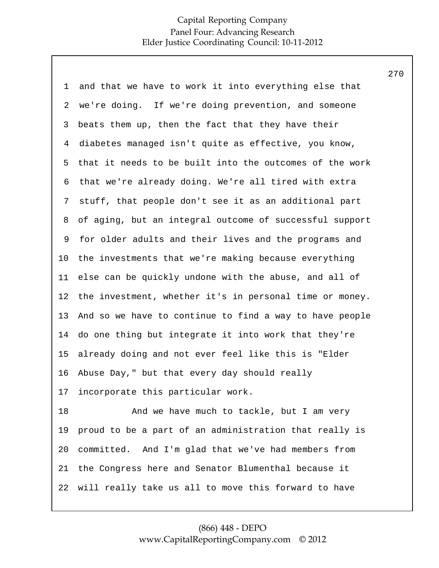| $\mathbf 1$ | and that we have to work it into everything else that   |
|-------------|---------------------------------------------------------|
| 2           | we're doing. If we're doing prevention, and someone     |
| 3           | beats them up, then the fact that they have their       |
| 4           | diabetes managed isn't quite as effective, you know,    |
| 5           | that it needs to be built into the outcomes of the work |
| 6           | that we're already doing. We're all tired with extra    |
| 7           | stuff, that people don't see it as an additional part   |
| 8           | of aging, but an integral outcome of successful support |
| 9           | for older adults and their lives and the programs and   |
| 10          | the investments that we're making because everything    |
| 11          | else can be quickly undone with the abuse, and all of   |
| 12          | the investment, whether it's in personal time or money. |
| 13          | And so we have to continue to find a way to have people |
| 14          | do one thing but integrate it into work that they're    |
| 15          | already doing and not ever feel like this is "Elder     |
| 16          | Abuse Day," but that every day should really            |
| 17          | incorporate this particular work.                       |
| 18          | And we have much to tackle, but I am very               |
| 19          | proud to be a part of an administration that really is  |
| 20          | committed. And I'm glad that we've had members from     |
| 21          | the Congress here and Senator Blumenthal because it     |
| 22          | will really take us all to move this forward to have    |